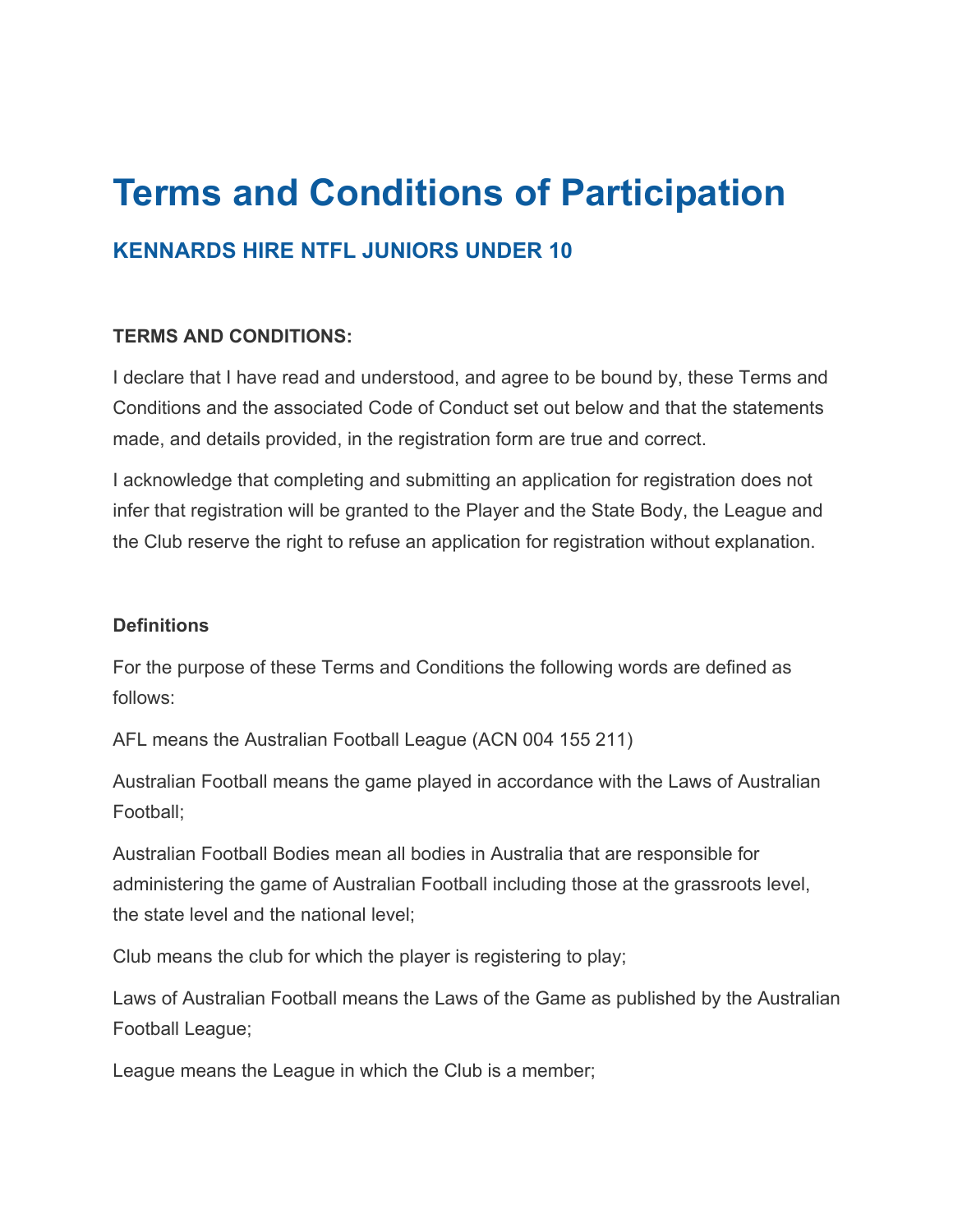# **Terms and Conditions of Participation**

## **KENNARDS HIRE NTFL JUNIORS UNDER 10**

### **TERMS AND CONDITIONS:**

I declare that I have read and understood, and agree to be bound by, these Terms and Conditions and the associated Code of Conduct set out below and that the statements made, and details provided, in the registration form are true and correct.

I acknowledge that completing and submitting an application for registration does not infer that registration will be granted to the Player and the State Body, the League and the Club reserve the right to refuse an application for registration without explanation.

#### **Definitions**

For the purpose of these Terms and Conditions the following words are defined as follows:

AFL means the Australian Football League (ACN 004 155 211)

Australian Football means the game played in accordance with the Laws of Australian Football;

Australian Football Bodies mean all bodies in Australia that are responsible for administering the game of Australian Football including those at the grassroots level, the state level and the national level;

Club means the club for which the player is registering to play;

Laws of Australian Football means the Laws of the Game as published by the Australian Football League;

League means the League in which the Club is a member;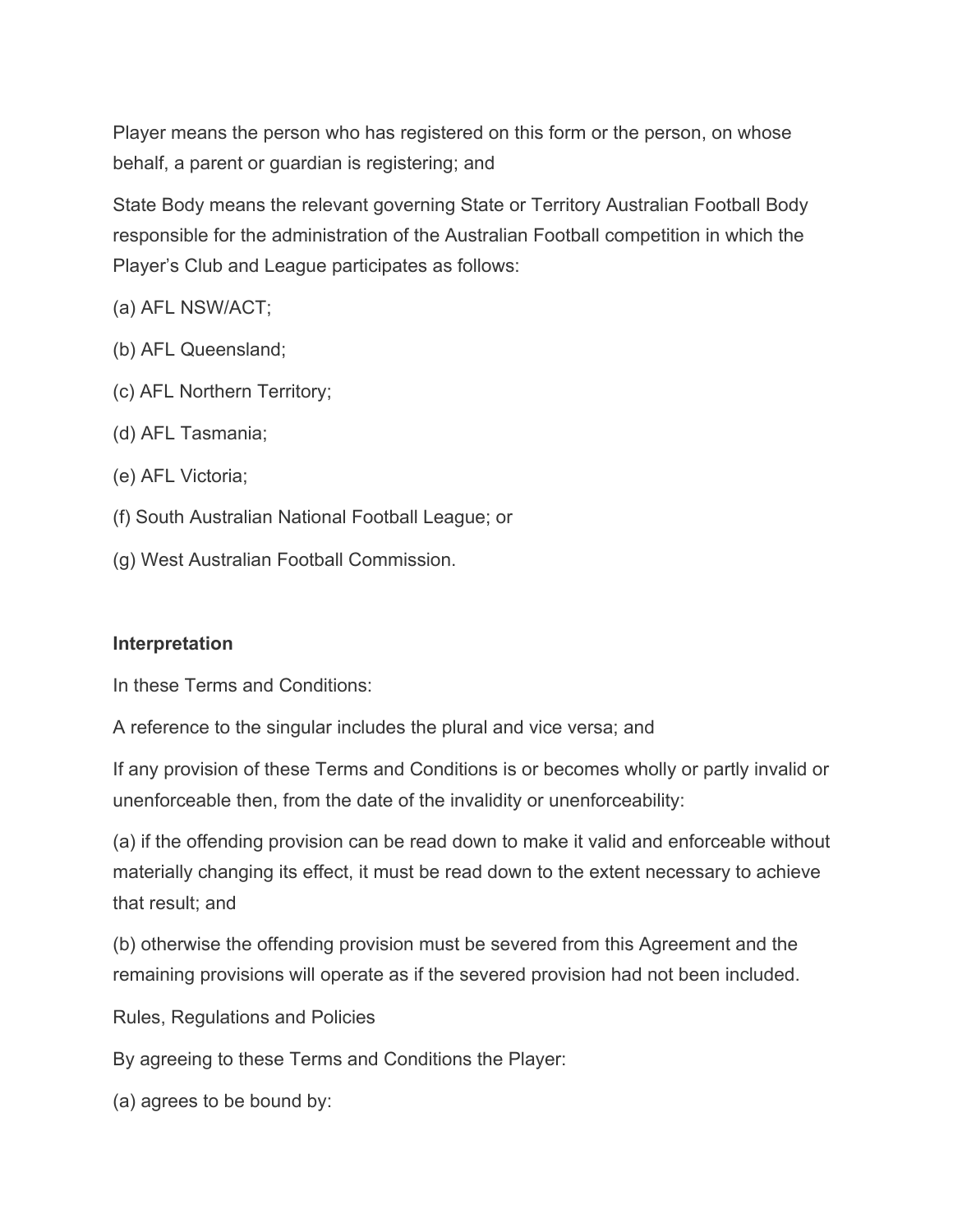Player means the person who has registered on this form or the person, on whose behalf, a parent or guardian is registering; and

State Body means the relevant governing State or Territory Australian Football Body responsible for the administration of the Australian Football competition in which the Player's Club and League participates as follows:

(a) AFL NSW/ACT;

- (b) AFL Queensland;
- (c) AFL Northern Territory;
- (d) AFL Tasmania;
- (e) AFL Victoria;
- (f) South Australian National Football League; or
- (g) West Australian Football Commission.

#### **Interpretation**

In these Terms and Conditions:

A reference to the singular includes the plural and vice versa; and

If any provision of these Terms and Conditions is or becomes wholly or partly invalid or unenforceable then, from the date of the invalidity or unenforceability:

(a) if the offending provision can be read down to make it valid and enforceable without materially changing its effect, it must be read down to the extent necessary to achieve that result; and

(b) otherwise the offending provision must be severed from this Agreement and the remaining provisions will operate as if the severed provision had not been included.

Rules, Regulations and Policies

By agreeing to these Terms and Conditions the Player:

(a) agrees to be bound by: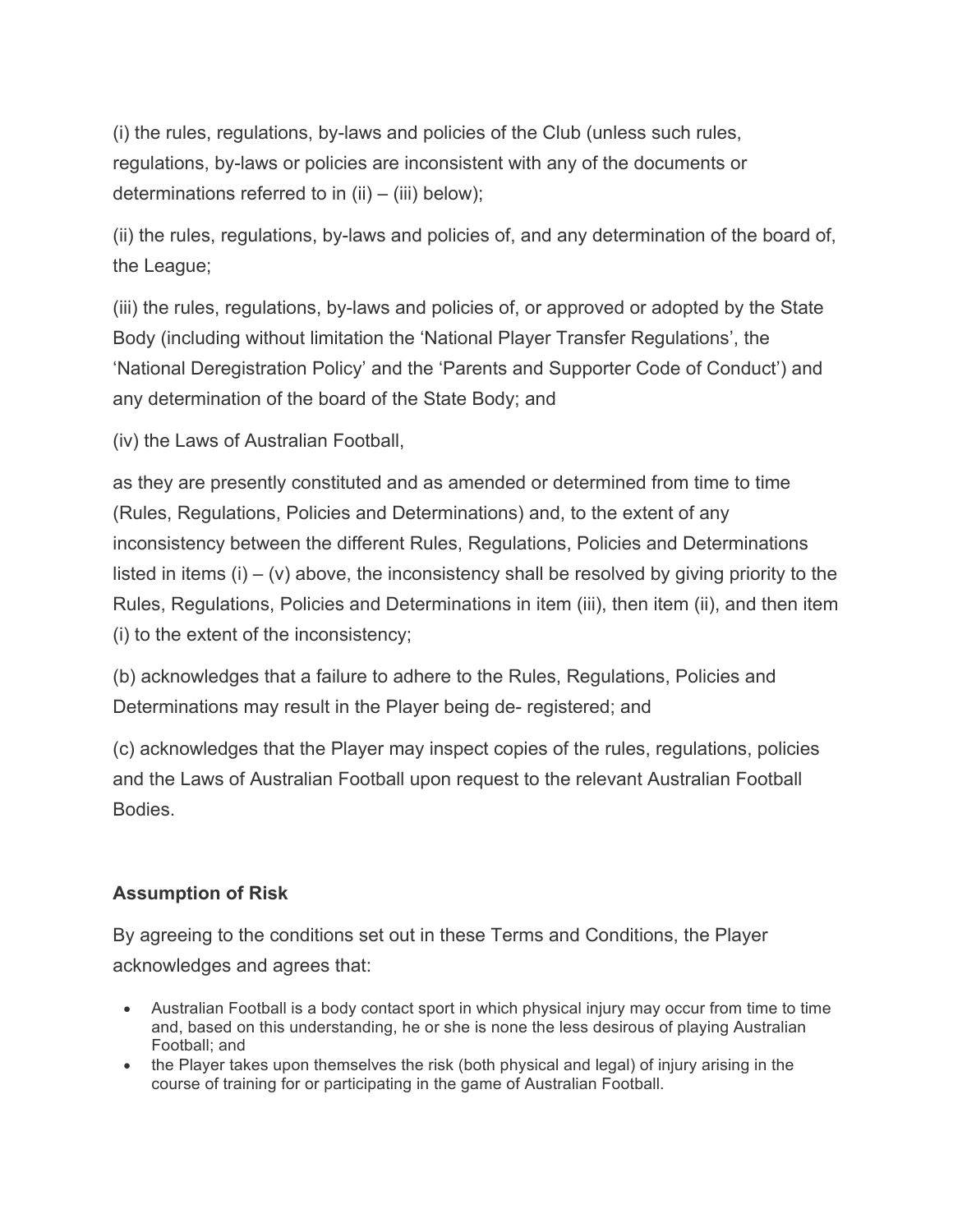(i) the rules, regulations, by-laws and policies of the Club (unless such rules, regulations, by-laws or policies are inconsistent with any of the documents or determinations referred to in  $(ii) - (iii)$  below);

(ii) the rules, regulations, by-laws and policies of, and any determination of the board of, the League;

(iii) the rules, regulations, by-laws and policies of, or approved or adopted by the State Body (including without limitation the 'National Player Transfer Regulations', the 'National Deregistration Policy' and the 'Parents and Supporter Code of Conduct') and any determination of the board of the State Body; and

(iv) the Laws of Australian Football,

as they are presently constituted and as amended or determined from time to time (Rules, Regulations, Policies and Determinations) and, to the extent of any inconsistency between the different Rules, Regulations, Policies and Determinations listed in items  $(i) - (v)$  above, the inconsistency shall be resolved by giving priority to the Rules, Regulations, Policies and Determinations in item (iii), then item (ii), and then item (i) to the extent of the inconsistency;

(b) acknowledges that a failure to adhere to the Rules, Regulations, Policies and Determinations may result in the Player being de- registered; and

(c) acknowledges that the Player may inspect copies of the rules, regulations, policies and the Laws of Australian Football upon request to the relevant Australian Football Bodies.

## **Assumption of Risk**

By agreeing to the conditions set out in these Terms and Conditions, the Player acknowledges and agrees that:

- Australian Football is a body contact sport in which physical injury may occur from time to time and, based on this understanding, he or she is none the less desirous of playing Australian Football; and
- the Player takes upon themselves the risk (both physical and legal) of injury arising in the course of training for or participating in the game of Australian Football.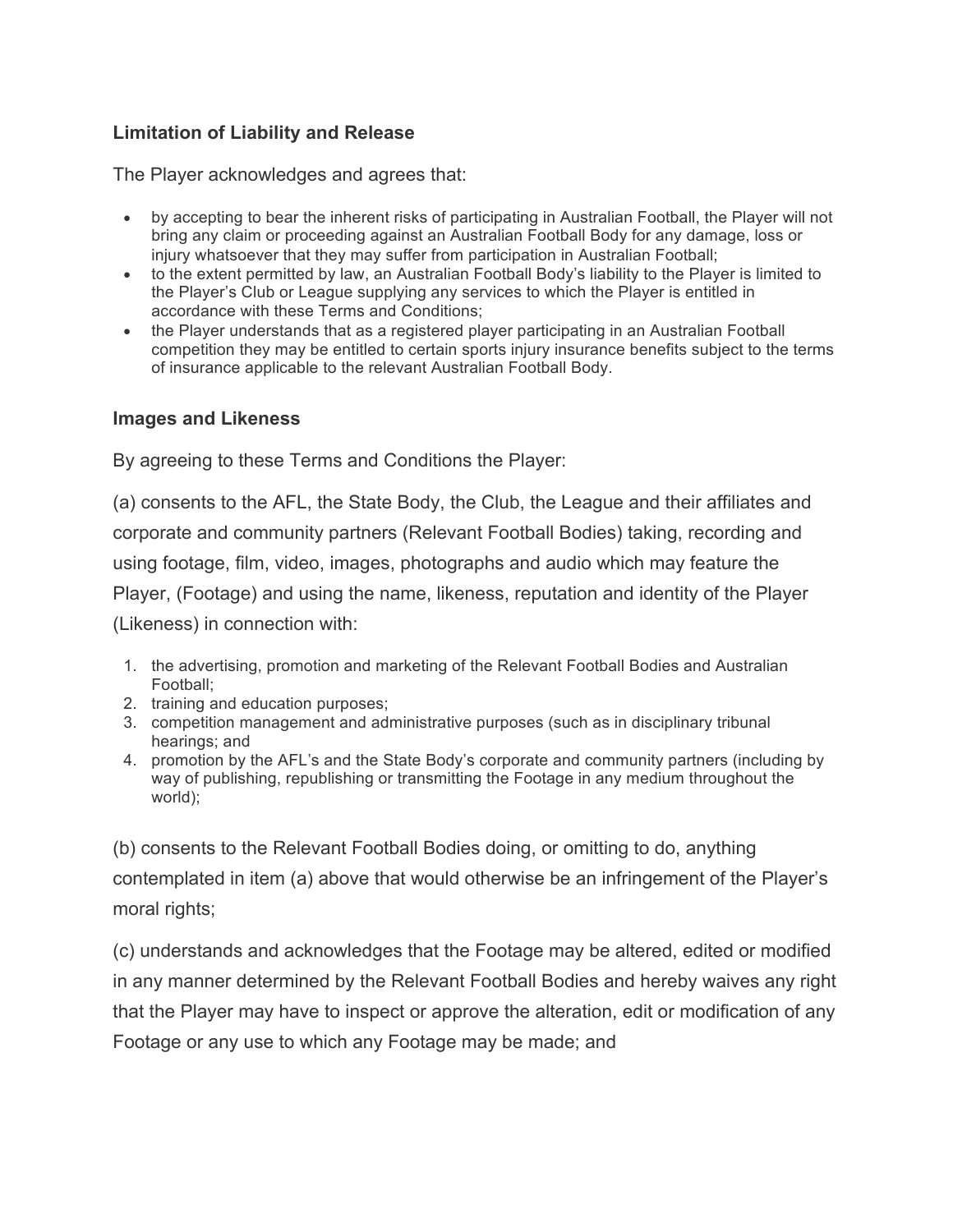## **Limitation of Liability and Release**

The Player acknowledges and agrees that:

- by accepting to bear the inherent risks of participating in Australian Football, the Player will not bring any claim or proceeding against an Australian Football Body for any damage, loss or injury whatsoever that they may suffer from participation in Australian Football;
- to the extent permitted by law, an Australian Football Body's liability to the Player is limited to the Player's Club or League supplying any services to which the Player is entitled in accordance with these Terms and Conditions;
- the Player understands that as a registered player participating in an Australian Football competition they may be entitled to certain sports injury insurance benefits subject to the terms of insurance applicable to the relevant Australian Football Body.

#### **Images and Likeness**

By agreeing to these Terms and Conditions the Player:

(a) consents to the AFL, the State Body, the Club, the League and their affiliates and corporate and community partners (Relevant Football Bodies) taking, recording and using footage, film, video, images, photographs and audio which may feature the Player, (Footage) and using the name, likeness, reputation and identity of the Player (Likeness) in connection with:

- 1. the advertising, promotion and marketing of the Relevant Football Bodies and Australian Football;
- 2. training and education purposes;
- 3. competition management and administrative purposes (such as in disciplinary tribunal hearings; and
- 4. promotion by the AFL's and the State Body's corporate and community partners (including by way of publishing, republishing or transmitting the Footage in any medium throughout the world);

(b) consents to the Relevant Football Bodies doing, or omitting to do, anything contemplated in item (a) above that would otherwise be an infringement of the Player's moral rights;

(c) understands and acknowledges that the Footage may be altered, edited or modified in any manner determined by the Relevant Football Bodies and hereby waives any right that the Player may have to inspect or approve the alteration, edit or modification of any Footage or any use to which any Footage may be made; and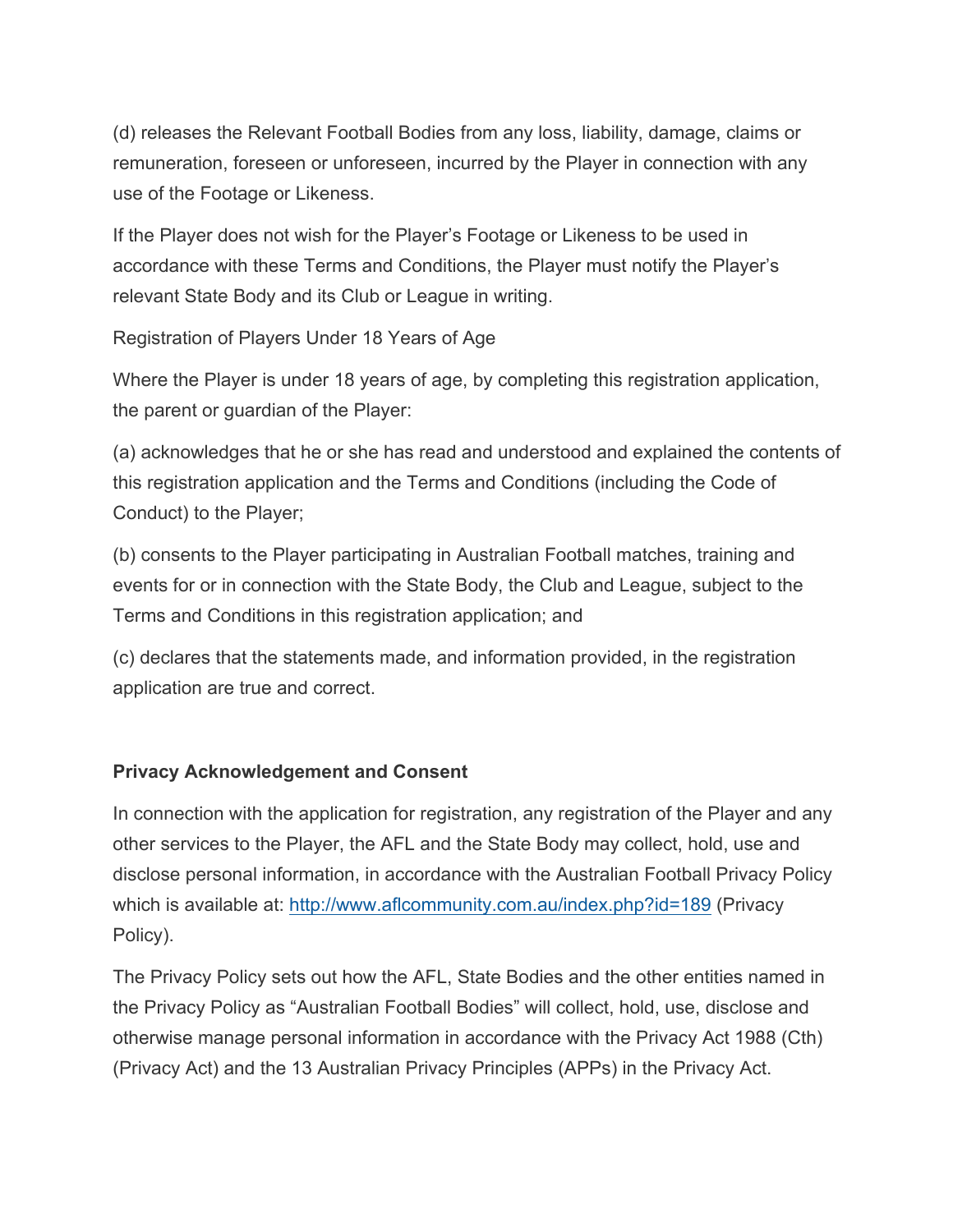(d) releases the Relevant Football Bodies from any loss, liability, damage, claims or remuneration, foreseen or unforeseen, incurred by the Player in connection with any use of the Footage or Likeness.

If the Player does not wish for the Player's Footage or Likeness to be used in accordance with these Terms and Conditions, the Player must notify the Player's relevant State Body and its Club or League in writing.

Registration of Players Under 18 Years of Age

Where the Player is under 18 years of age, by completing this registration application, the parent or guardian of the Player:

(a) acknowledges that he or she has read and understood and explained the contents of this registration application and the Terms and Conditions (including the Code of Conduct) to the Player;

(b) consents to the Player participating in Australian Football matches, training and events for or in connection with the State Body, the Club and League, subject to the Terms and Conditions in this registration application; and

(c) declares that the statements made, and information provided, in the registration application are true and correct.

### **Privacy Acknowledgement and Consent**

In connection with the application for registration, any registration of the Player and any other services to the Player, the AFL and the State Body may collect, hold, use and disclose personal information, in accordance with the Australian Football Privacy Policy which is available at: http://www.aflcommunity.com.au/index.php?id=189 (Privacy Policy).

The Privacy Policy sets out how the AFL, State Bodies and the other entities named in the Privacy Policy as "Australian Football Bodies" will collect, hold, use, disclose and otherwise manage personal information in accordance with the Privacy Act 1988 (Cth) (Privacy Act) and the 13 Australian Privacy Principles (APPs) in the Privacy Act.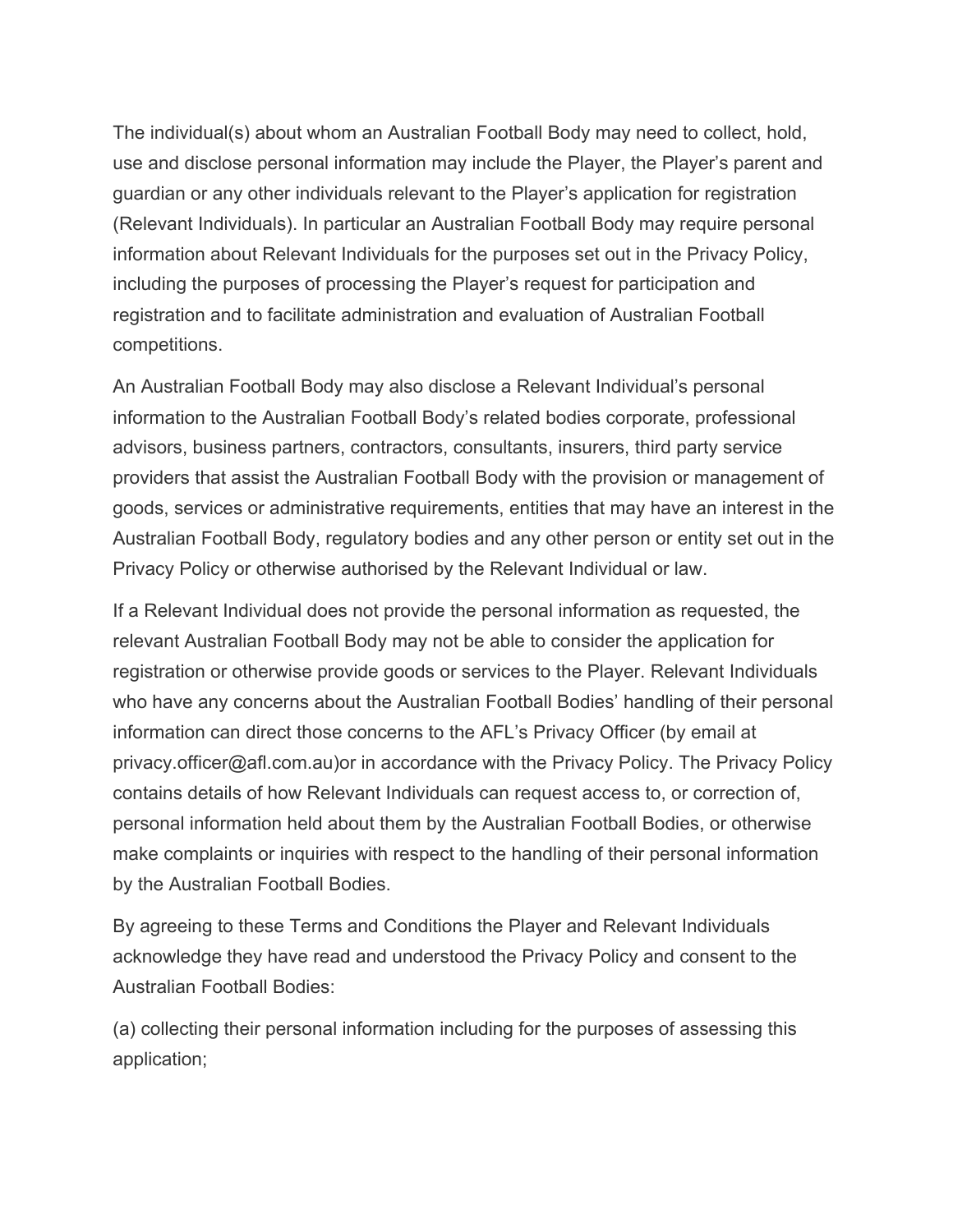The individual(s) about whom an Australian Football Body may need to collect, hold, use and disclose personal information may include the Player, the Player's parent and guardian or any other individuals relevant to the Player's application for registration (Relevant Individuals). In particular an Australian Football Body may require personal information about Relevant Individuals for the purposes set out in the Privacy Policy, including the purposes of processing the Player's request for participation and registration and to facilitate administration and evaluation of Australian Football competitions.

An Australian Football Body may also disclose a Relevant Individual's personal information to the Australian Football Body's related bodies corporate, professional advisors, business partners, contractors, consultants, insurers, third party service providers that assist the Australian Football Body with the provision or management of goods, services or administrative requirements, entities that may have an interest in the Australian Football Body, regulatory bodies and any other person or entity set out in the Privacy Policy or otherwise authorised by the Relevant Individual or law.

If a Relevant Individual does not provide the personal information as requested, the relevant Australian Football Body may not be able to consider the application for registration or otherwise provide goods or services to the Player. Relevant Individuals who have any concerns about the Australian Football Bodies' handling of their personal information can direct those concerns to the AFL's Privacy Officer (by email at privacy.officer@afl.com.au)or in accordance with the Privacy Policy. The Privacy Policy contains details of how Relevant Individuals can request access to, or correction of, personal information held about them by the Australian Football Bodies, or otherwise make complaints or inquiries with respect to the handling of their personal information by the Australian Football Bodies.

By agreeing to these Terms and Conditions the Player and Relevant Individuals acknowledge they have read and understood the Privacy Policy and consent to the Australian Football Bodies:

(a) collecting their personal information including for the purposes of assessing this application;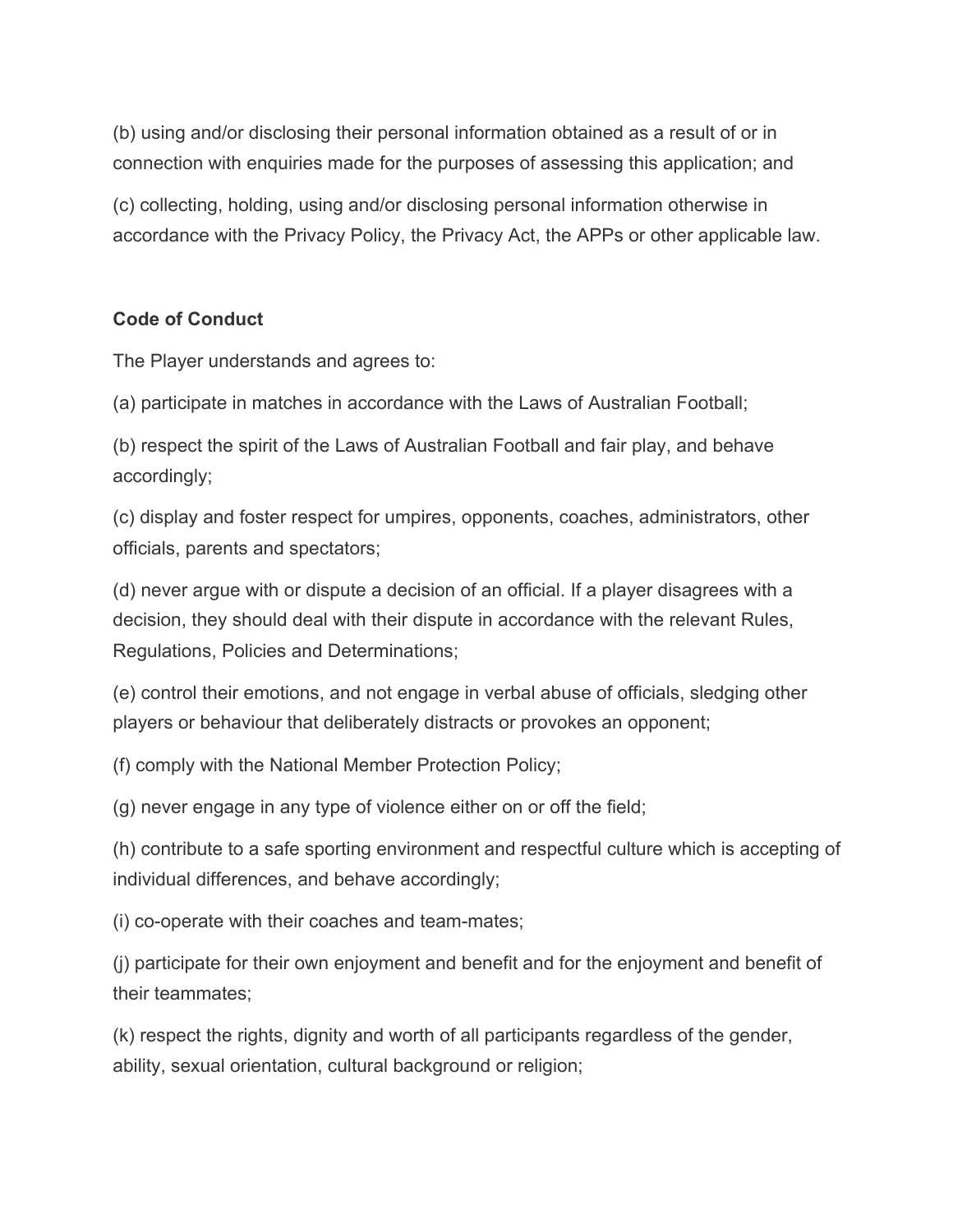(b) using and/or disclosing their personal information obtained as a result of or in connection with enquiries made for the purposes of assessing this application; and

(c) collecting, holding, using and/or disclosing personal information otherwise in accordance with the Privacy Policy, the Privacy Act, the APPs or other applicable law.

### **Code of Conduct**

The Player understands and agrees to:

(a) participate in matches in accordance with the Laws of Australian Football;

(b) respect the spirit of the Laws of Australian Football and fair play, and behave accordingly;

(c) display and foster respect for umpires, opponents, coaches, administrators, other officials, parents and spectators;

(d) never argue with or dispute a decision of an official. If a player disagrees with a decision, they should deal with their dispute in accordance with the relevant Rules, Regulations, Policies and Determinations;

(e) control their emotions, and not engage in verbal abuse of officials, sledging other players or behaviour that deliberately distracts or provokes an opponent;

(f) comply with the National Member Protection Policy;

(g) never engage in any type of violence either on or off the field;

(h) contribute to a safe sporting environment and respectful culture which is accepting of individual differences, and behave accordingly;

(i) co-operate with their coaches and team-mates;

(j) participate for their own enjoyment and benefit and for the enjoyment and benefit of their teammates;

(k) respect the rights, dignity and worth of all participants regardless of the gender, ability, sexual orientation, cultural background or religion;